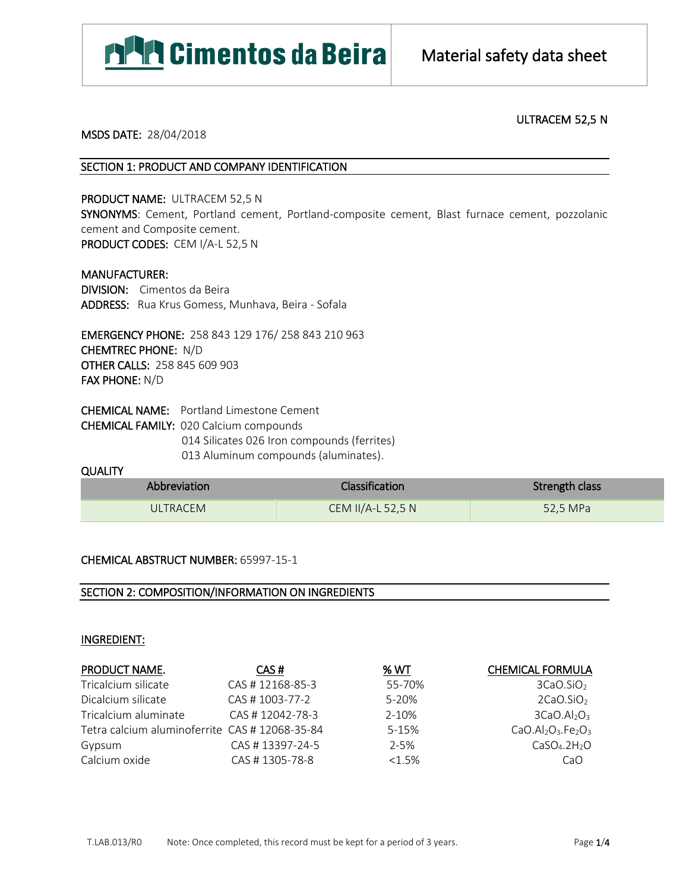

# ULTRACEM 52,5 N

#### MSDS DATE: 28/04/2018

## SECTION 1: PRODUCT AND COMPANY IDENTIFICATION

PRODUCT NAME: ULTRACEM 52,5 N SYNONYMS: Cement, Portland cement, Portland-composite cement, Blast furnace cement, pozzolanic cement and Composite cement. PRODUCT CODES: CEM I/A-L 52,5 N

MANUFACTURER: DIVISION: Cimentos da Beira ADDRESS: Rua Krus Gomess, Munhava, Beira - Sofala

EMERGENCY PHONE: 258 843 129 176/ 258 843 210 963 CHEMTREC PHONE: N/D OTHER CALLS: 258 845 609 903 FAX PHONE: N/D

CHEMICAL NAME: Portland Limestone Cement CHEMICAL FAMILY: 020 Calcium compounds 014 Silicates 026 Iron compounds (ferrites) 013 Aluminum compounds (aluminates).

## **QUALITY**

| Abbreviation | <b>Classification</b> | Strength class |
|--------------|-----------------------|----------------|
| ULTRACEM     | CEM II/A-L 52,5 N     | 52,5 MPa       |

# CHEMICAL ABSTRUCT NUMBER: 65997-15-1

# SECTION 2: COMPOSITION/INFORMATION ON INGREDIENTS

## INGREDIENT:

| PRODUCT NAME.                                 | CAS#            | % WT      | <b>CHEMICAL FORMULA</b>              |
|-----------------------------------------------|-----------------|-----------|--------------------------------------|
| Tricalcium silicate                           | CAS #12168-85-3 | 55-70%    | 3CaO.SIO <sub>2</sub>                |
| Dicalcium silicate                            | CAS # 1003-77-2 | 5-20%     | 2CaO.SIO <sub>2</sub>                |
| Tricalcium aluminate                          | CAS #12042-78-3 | 2-10%     | 3CaO.AI <sub>2</sub> O <sub>3</sub>  |
| Tetra calcium aluminoferrite CAS #12068-35-84 |                 | $5 - 15%$ | $CaO.AI2O3.Fe2O3$                    |
| Gypsum                                        | CAS #13397-24-5 | $2 - 5%$  | CaSO <sub>4</sub> .2H <sub>2</sub> O |
| Calcium oxide                                 | CAS #1305-78-8  | $<1.5\%$  | CaO                                  |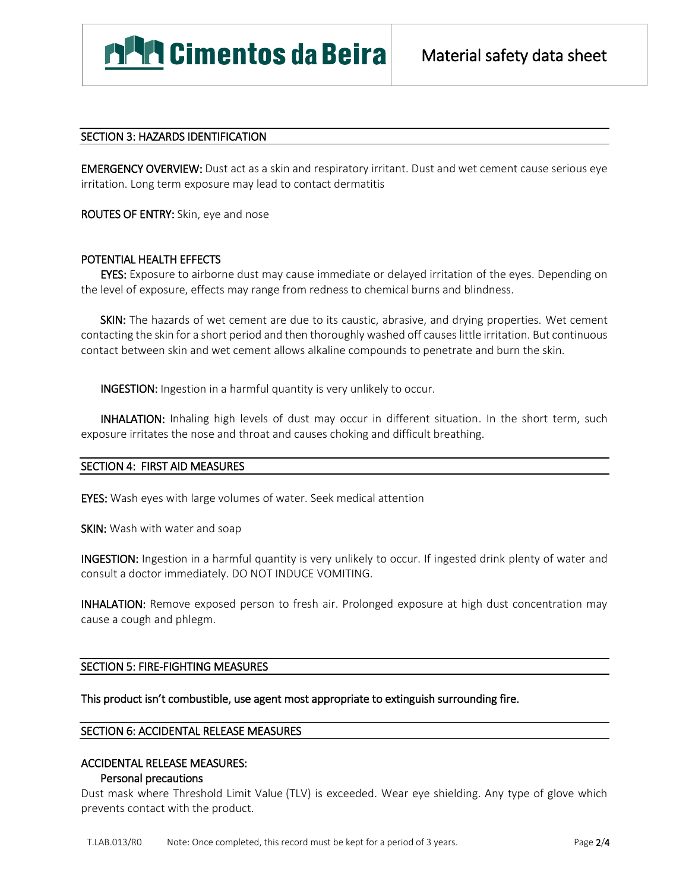# SECTION 3: HAZARDS IDENTIFICATION

EMERGENCY OVERVIEW: Dust act as a skin and respiratory irritant. Dust and wet cement cause serious eye irritation. Long term exposure may lead to contact dermatitis

ROUTES OF ENTRY: Skin, eye and nose

# POTENTIAL HEALTH EFFECTS

**EYES:** Exposure to airborne dust may cause immediate or delayed irritation of the eyes. Depending on the level of exposure, effects may range from redness to chemical burns and blindness.

**SKIN:** The hazards of wet cement are due to its caustic, abrasive, and drying properties. Wet cement contacting the skin for a short period and then thoroughly washed off causes little irritation. But continuous contact between skin and wet cement allows alkaline compounds to penetrate and burn the skin.

INGESTION: Ingestion in a harmful quantity is very unlikely to occur.

**INHALATION:** Inhaling high levels of dust may occur in different situation. In the short term, such exposure irritates the nose and throat and causes choking and difficult breathing.

## SECTION 4: FIRST AID MEASURES

EYES: Wash eyes with large volumes of water. Seek medical attention

SKIN: Wash with water and soap

INGESTION: Ingestion in a harmful quantity is very unlikely to occur. If ingested drink plenty of water and consult a doctor immediately. DO NOT INDUCE VOMITING.

INHALATION: Remove exposed person to fresh air. Prolonged exposure at high dust concentration may cause a cough and phlegm.

## SECTION 5: FIRE-FIGHTING MEASURES

This product isn't combustible, use agent most appropriate to extinguish surrounding fire.

## SECTION 6: ACCIDENTAL RELEASE MEASURES

# ACCIDENTAL RELEASE MEASURES:

## Personal precautions

Dust mask where Threshold Limit Value (TLV) is exceeded. Wear eye shielding. Any type of glove which prevents contact with the product.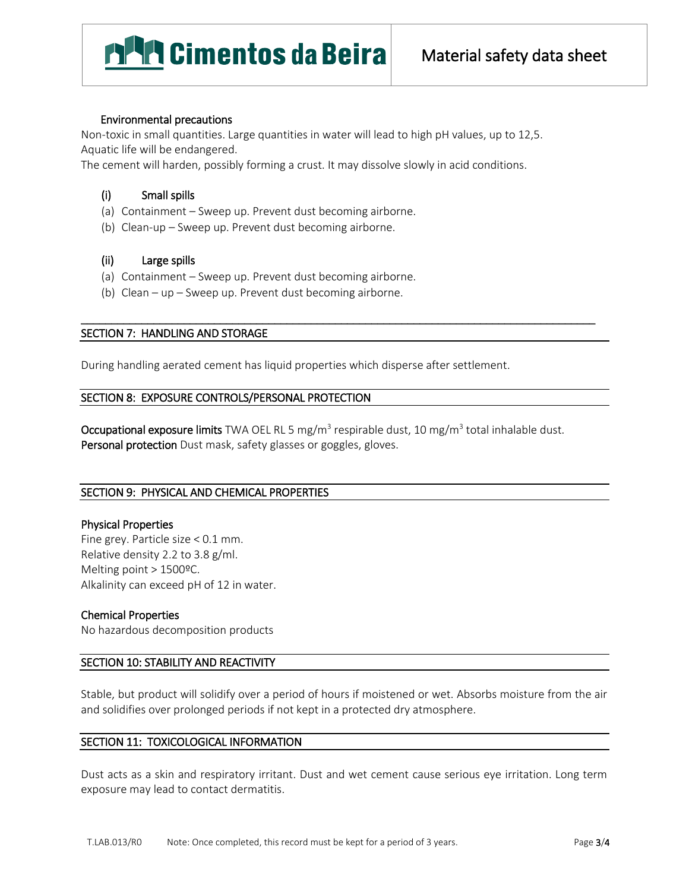# **MAN** Cimentos da Beira

# Environmental precautions

Non-toxic in small quantities. Large quantities in water will lead to high pH values, up to 12,5. Aquatic life will be endangered.

The cement will harden, possibly forming a crust. It may dissolve slowly in acid conditions.

# (i) Small spills

- (a) Containment Sweep up. Prevent dust becoming airborne.
- (b) Clean-up Sweep up. Prevent dust becoming airborne.

## (ii) Large spills

- (a) Containment Sweep up. Prevent dust becoming airborne.
- (b) Clean up Sweep up. Prevent dust becoming airborne.

# SECTION 7: HANDLING AND STORAGE

During handling aerated cement has liquid properties which disperse after settlement.

## SECTION 8: EXPOSURE CONTROLS/PERSONAL PROTECTION

**Occupational exposure limits** TWA OEL RL 5 mg/m<sup>3</sup> respirable dust, 10 mg/m<sup>3</sup> total inhalable dust. Personal protection Dust mask, safety glasses or goggles, gloves.

\_\_\_\_\_\_\_\_\_\_\_\_\_\_\_\_\_\_\_\_\_\_\_\_\_\_\_\_\_\_\_\_\_\_\_\_\_\_\_\_\_\_\_\_\_\_\_\_\_\_\_\_\_\_\_\_\_\_\_\_\_\_\_\_\_\_\_\_\_\_\_\_\_\_\_\_\_\_\_\_\_\_\_\_\_

# SECTION 9: PHYSICAL AND CHEMICAL PROPERTIES

## Physical Properties

Fine grey. Particle size < 0.1 mm. Relative density 2.2 to 3.8 g/ml. Melting point > 1500ºC. Alkalinity can exceed pH of 12 in water.

# Chemical Properties

No hazardous decomposition products

## SECTION 10: STABILITY AND REACTIVITY

Stable, but product will solidify over a period of hours if moistened or wet. Absorbs moisture from the air and solidifies over prolonged periods if not kept in a protected dry atmosphere.

# SECTION 11: TOXICOLOGICAL INFORMATION

Dust acts as a skin and respiratory irritant. Dust and wet cement cause serious eye irritation. Long term exposure may lead to contact dermatitis.